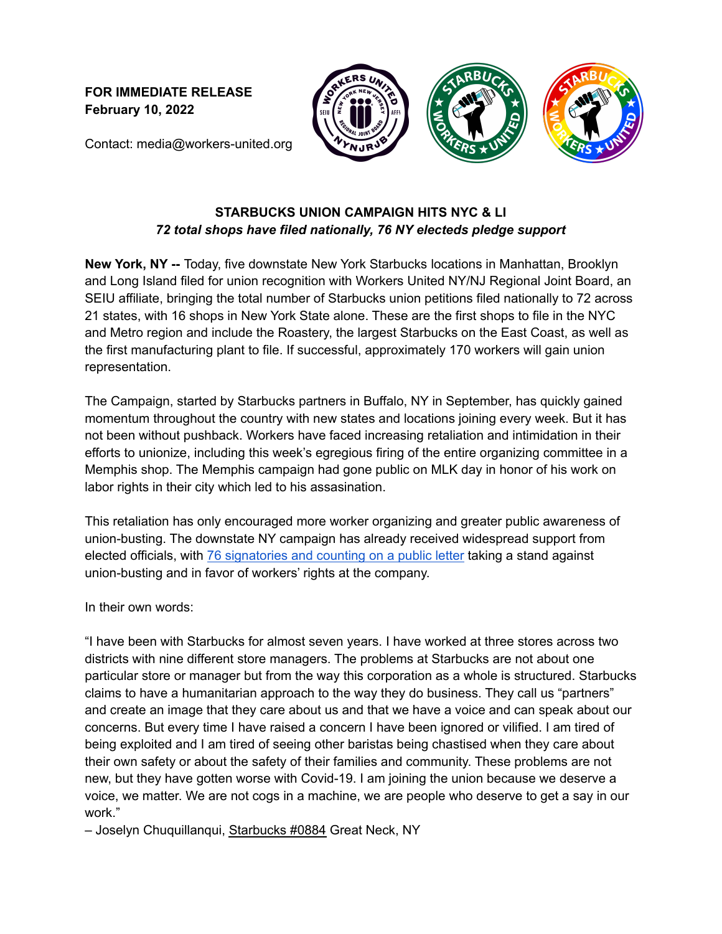**FOR IMMEDIATE RELEASE February 10, 2022**





Contact: media@workers-united.org

## **STARBUCKS UNION CAMPAIGN HITS NYC & LI** *72 total shops have filed nationally, 76 NY electeds pledge support*

**New York, NY --** Today, five downstate New York Starbucks locations in Manhattan, Brooklyn and Long Island filed for union recognition with Workers United NY/NJ Regional Joint Board, an SEIU affiliate, bringing the total number of Starbucks union petitions filed nationally to 72 across 21 states, with 16 shops in New York State alone. These are the first shops to file in the NYC and Metro region and include the Roastery, the largest Starbucks on the East Coast, as well as the first manufacturing plant to file. If successful, approximately 170 workers will gain union representation.

The Campaign, started by Starbucks partners in Buffalo, NY in September, has quickly gained momentum throughout the country with new states and locations joining every week. But it has not been without pushback. Workers have faced increasing retaliation and intimidation in their efforts to unionize, including this week's egregious firing of the entire organizing committee in a Memphis shop. The Memphis campaign had gone public on MLK day in honor of his work on labor rights in their city which led to his assasination.

This retaliation has only encouraged more worker organizing and greater public awareness of union-busting. The downstate NY campaign has already received widespread support from elected officials, with 76 [signatories](https://drive.google.com/file/d/1l53ayCsrDe-2wdVujtX1rqaNTy8xSHoL/view?usp=drivesdk) and counting on a public letter taking a stand against union-busting and in favor of workers' rights at the company.

In their own words:

"I have been with Starbucks for almost seven years. I have worked at three stores across two districts with nine different store managers. The problems at Starbucks are not about one particular store or manager but from the way this corporation as a whole is structured. Starbucks claims to have a humanitarian approach to the way they do business. They call us "partners" and create an image that they care about us and that we have a voice and can speak about our concerns. But every time I have raised a concern I have been ignored or vilified. I am tired of being exploited and I am tired of seeing other baristas being chastised when they care about their own safety or about the safety of their families and community. These problems are not new, but they have gotten worse with Covid-19. I am joining the union because we deserve a voice, we matter. We are not cogs in a machine, we are people who deserve to get a say in our work."

- Joselyn Chuquillanqui, Starbucks #0884 Great Neck, NY